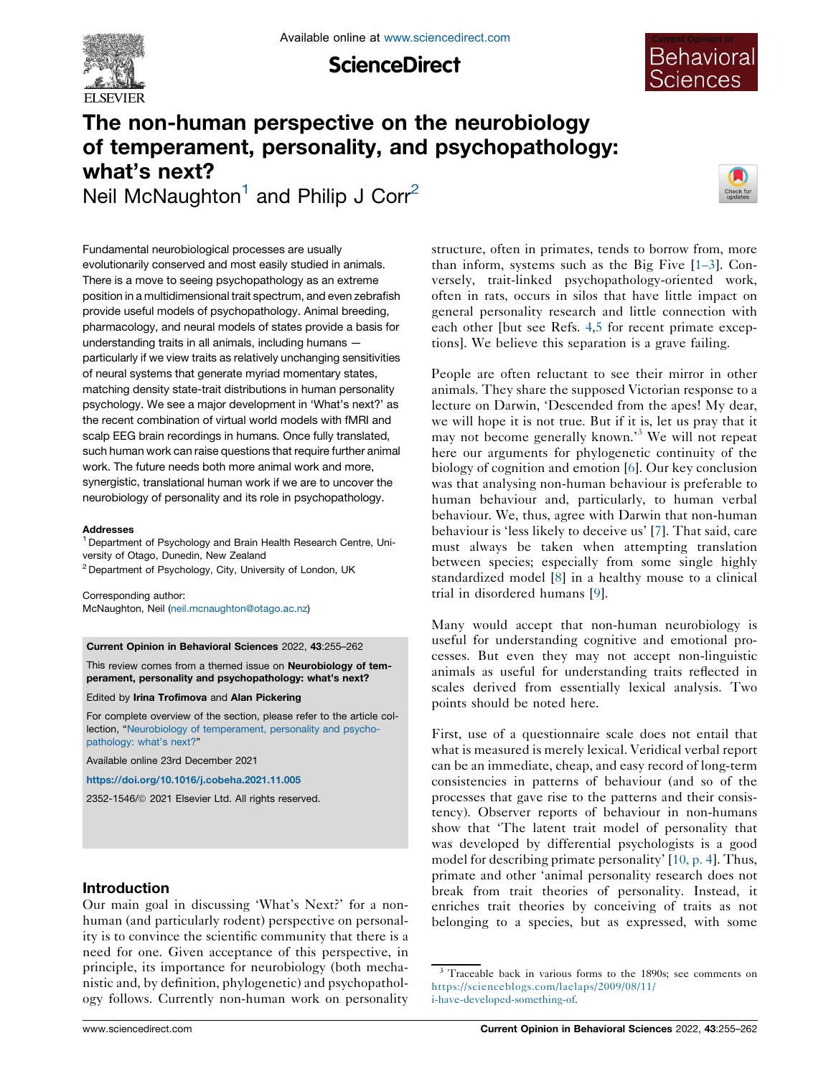

**ScienceDirect** 



# The non-human perspective on the neurobiology of temperament, personality, and psychopathology: what's next? Neil McNaughton<sup>1</sup> and Philip J Corr<sup>2</sup>



Fundamental neurobiological processes are usually evolutionarily conserved and most easily studied in animals. There is a move to seeing psychopathology as an extreme position in a multidimensional trait spectrum, and even zebrafish provide useful models of psychopathology. Animal breeding, pharmacology, and neural models of states provide a basis for understanding traits in all animals, including humans particularly if we view traits as relatively unchanging sensitivities of neural systems that generate myriad momentary states, matching density state-trait distributions in human personality psychology. We see a major development in 'What's next?' as the recent combination of virtual world models with fMRI and scalp EEG brain recordings in humans. Once fully translated, such human work can raise questions that require further animal work. The future needs both more animal work and more, synergistic, translational human work if we are to uncover the neurobiology of personality and its role in psychopathology.

#### Addresses

<sup>1</sup> Department of Psychology and Brain Health Research Centre, University of Otago, Dunedin, New Zealand <sup>2</sup> Department of Psychology, City, University of London, UK

Corresponding author: McNaughton, Neil ([neil.mcnaughton@otago.ac.nz\)](mailto:neil.mcnaughton@otago.ac.nz)

Current Opinion in Behavioral Sciences 2022, 43:255–262

This review comes from a themed issue on Neurobiology of temperament, personality and psychopathology: what's next?

Edited by Irina Trofimova and Alan Pickering

For complete overview of the section, please refer to the article collection, "Neurobiology of [temperament,](https://www.sciencedirect.com/journal/current-opinion-in-behavioral-sciences/special-issue/10XZN9HWR3R) personality and psycho[pathology:](https://www.sciencedirect.com/journal/current-opinion-in-behavioral-sciences/special-issue/10XZN9HWR3R) what's next?"

Available online 23rd December 2021

<https://doi.org/10.1016/j.cobeha.2021.11.005>

2352-1546/ã 2021 Elsevier Ltd. All rights reserved.

## Introduction

Our main goal in discussing 'What's Next?' for a nonhuman (and particularly rodent) perspective on personality is to convince the scientific community that there is a need for one. Given acceptance of this perspective, in principle, its importance for neurobiology (both mechanistic and, by definition, phylogenetic) and psychopathology follows. Currently non-human work on personality

structure, often in primates, tends to borrow from, more than inform, systems such as the Big Five [[1–3](#page-5-0)]. Conversely, trait-linked psychopathology-oriented work, often in rats, occurs in silos that have little impact on general personality research and little connection with each other [but see Refs. [4,5](#page-5-0) for recent primate exceptions]. We believe this separation is a grave failing.

People are often reluctant to see their mirror in other animals. They share the supposed Victorian response to a lecture on Darwin, 'Descended from the apes! My dear, we will hope it is not true. But if it is, let us pray that it may not become generally known.'<sup>3</sup> We will not repeat here our arguments for phylogenetic continuity of the biology of cognition and emotion [\[6](#page-5-0)]. Our key conclusion was that analysing non-human behaviour is preferable to human behaviour and, particularly, to human verbal behaviour. We, thus, agree with Darwin that non-human behaviour is 'less likely to deceive us' [[7\]](#page-5-0). That said, care must always be taken when attempting translation between species; especially from some single highly standardized model [\[8](#page-5-0)] in a healthy mouse to a clinical trial in disordered humans [[9\]](#page-5-0).

Many would accept that non-human neurobiology is useful for understanding cognitive and emotional processes. But even they may not accept non-linguistic animals as useful for understanding traits reflected in scales derived from essentially lexical analysis. Two points should be noted here.

First, use of a questionnaire scale does not entail that what is measured is merely lexical. Veridical verbal report can be an immediate, cheap, and easy record of long-term consistencies in patterns of behaviour (and so of the processes that gave rise to the patterns and their consistency). Observer reports of behaviour in non-humans show that 'The latent trait model of personality that was developed by differential psychologists is a good model for describing primate personality' [[10,](#page-5-0) p. 4]. Thus, primate and other 'animal personality research does not break from trait theories of personality. Instead, it enriches trait theories by conceiving of traits as not belonging to a species, but as expressed, with some

<sup>&</sup>lt;sup>3</sup> Traceable back in various forms to the 1890s; see comments on [https://scienceblogs.com/laelaps/2009/08/11/](https://scienceblogs.com/laelaps/2009/08/11/i-have-developed-something-of) [i-have-developed-something-of](https://scienceblogs.com/laelaps/2009/08/11/i-have-developed-something-of).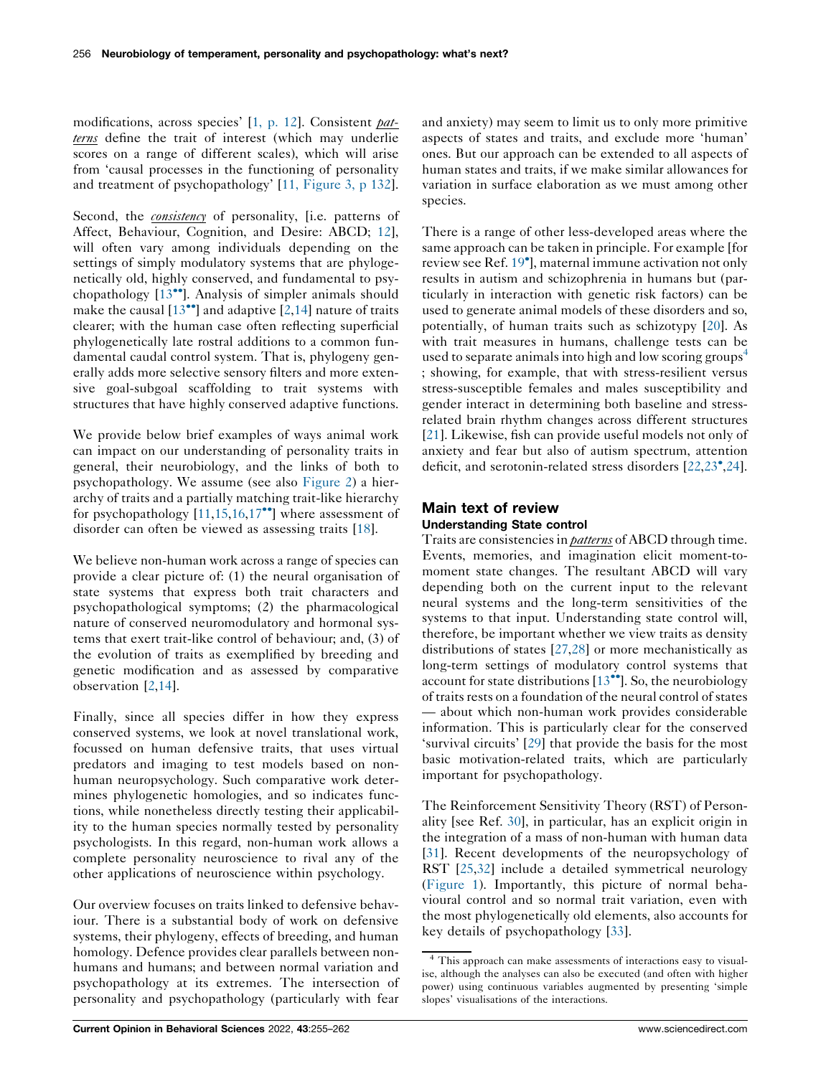modifications, across species' [1, p. [12](#page-5-0)]. Consistent patterns define the trait of interest (which may underlie scores on a range of different scales), which will arise from 'causal processes in the functioning of personality and treatment of psychopathology' [11, [Figure](#page-5-0) 3, p 132].

Second, the *consistency* of personality, [i.e. patterns of Affect, Behaviour, Cognition, and Desire: ABCD; [12](#page-5-0)], will often vary among individuals depending on the settings of simply modulatory systems that are phylogenetically old, highly conserved, and fundamental to psy-chopathology [\[13](#page-5-0)<sup>\*</sup>]. Analysis of simpler animals should make the causal  $[13\bullet]$  $[13\bullet]$  and adaptive  $[2,14]$  $[2,14]$  nature of traits clearer; with the human case often reflecting superficial phylogenetically late rostral additions to a common fundamental caudal control system. That is, phylogeny generally adds more selective sensory filters and more extensive goal-subgoal scaffolding to trait systems with structures that have highly conserved adaptive functions.

We provide below brief examples of ways animal work can impact on our understanding of personality traits in general, their neurobiology, and the links of both to psychopathology. We assume (see also [Figure](#page-3-0) 2) a hierarchy of traits and a partially matching trait-like hierarchy for psychopathology  $[11,15,16,17$  $[11,15,16,17$  $[11,15,16,17$  $[11,15,16,17$ <sup>\*\*</sup>] where assessment of disorder can often be viewed as assessing traits [\[18](#page-6-0)].

We believe non-human work across a range of species can provide a clear picture of: (1) the neural organisation of state systems that express both trait characters and psychopathological symptoms; (2) the pharmacological nature of conserved neuromodulatory and hormonal systems that exert trait-like control of behaviour; and, (3) of the evolution of traits as exemplified by breeding and genetic modification and as assessed by comparative observation [\[2](#page-5-0),[14\]](#page-5-0).

Finally, since all species differ in how they express conserved systems, we look at novel translational work, focussed on human defensive traits, that uses virtual predators and imaging to test models based on nonhuman neuropsychology. Such comparative work determines phylogenetic homologies, and so indicates functions, while nonetheless directly testing their applicability to the human species normally tested by personality psychologists. In this regard, non-human work allows a complete personality neuroscience to rival any of the other applications of neuroscience within psychology.

Our overview focuses on traits linked to defensive behaviour. There is a substantial body of work on defensive systems, their phylogeny, effects of breeding, and human homology. Defence provides clear parallels between nonhumans and humans; and between normal variation and psychopathology at its extremes. The intersection of personality and psychopathology (particularly with fear

and anxiety) may seem to limit us to only more primitive aspects of states and traits, and exclude more 'human' ones. But our approach can be extended to all aspects of human states and traits, if we make similar allowances for variation in surface elaboration as we must among other species.

There is a range of other less-developed areas where the same approach can be taken in principle. For example [for review see Ref. [19](#page-6-0) ], maternal immune activation not only results in autism and schizophrenia in humans but (particularly in interaction with genetic risk factors) can be used to generate animal models of these disorders and so, potentially, of human traits such as schizotypy [\[20](#page-6-0)]. As with trait measures in humans, challenge tests can be used to separate animals into high and low scoring groups<sup>4</sup> ; showing, for example, that with stress-resilient versus stress-susceptible females and males susceptibility and gender interact in determining both baseline and stressrelated brain rhythm changes across different structures [\[21](#page-6-0)]. Likewise, fish can provide useful models not only of anxiety and fear but also of autism spectrum, attention deficit, and serotonin-related stress disorders [[22,23](#page-6-0) ,[24](#page-6-0)].

# Main text of review Understanding State control

Traits are consistencies in *patterns* of ABCD through time. Events, memories, and imagination elicit moment-tomoment state changes. The resultant ABCD will vary depending both on the current input to the relevant neural systems and the long-term sensitivities of the systems to that input. Understanding state control will, therefore, be important whether we view traits as density distributions of states [\[27](#page-6-0),[28\]](#page-6-0) or more mechanistically as long-term settings of modulatory control systems that account for state distributions  $[13\text{°}$  $[13\text{°}$ . So, the neurobiology of traits rests on a foundation of the neural control of states — about which non-human work provides considerable information. This is particularly clear for the conserved 'survival circuits' [\[29](#page-6-0)] that provide the basis for the most basic motivation-related traits, which are particularly important for psychopathology.

The Reinforcement Sensitivity Theory (RST) of Personality [see Ref. [30](#page-6-0)], in particular, has an explicit origin in the integration of a mass of non-human with human data [\[31](#page-6-0)]. Recent developments of the neuropsychology of RST [\[25](#page-6-0),[32\]](#page-6-0) include a detailed symmetrical neurology [\(Figure](#page-2-0) 1). Importantly, this picture of normal behavioural control and so normal trait variation, even with the most phylogenetically old elements, also accounts for key details of psychopathology [\[33](#page-6-0)].

<sup>&</sup>lt;sup>4</sup> This approach can make assessments of interactions easy to visualise, although the analyses can also be executed (and often with higher power) using continuous variables augmented by presenting 'simple slopes' visualisations of the interactions.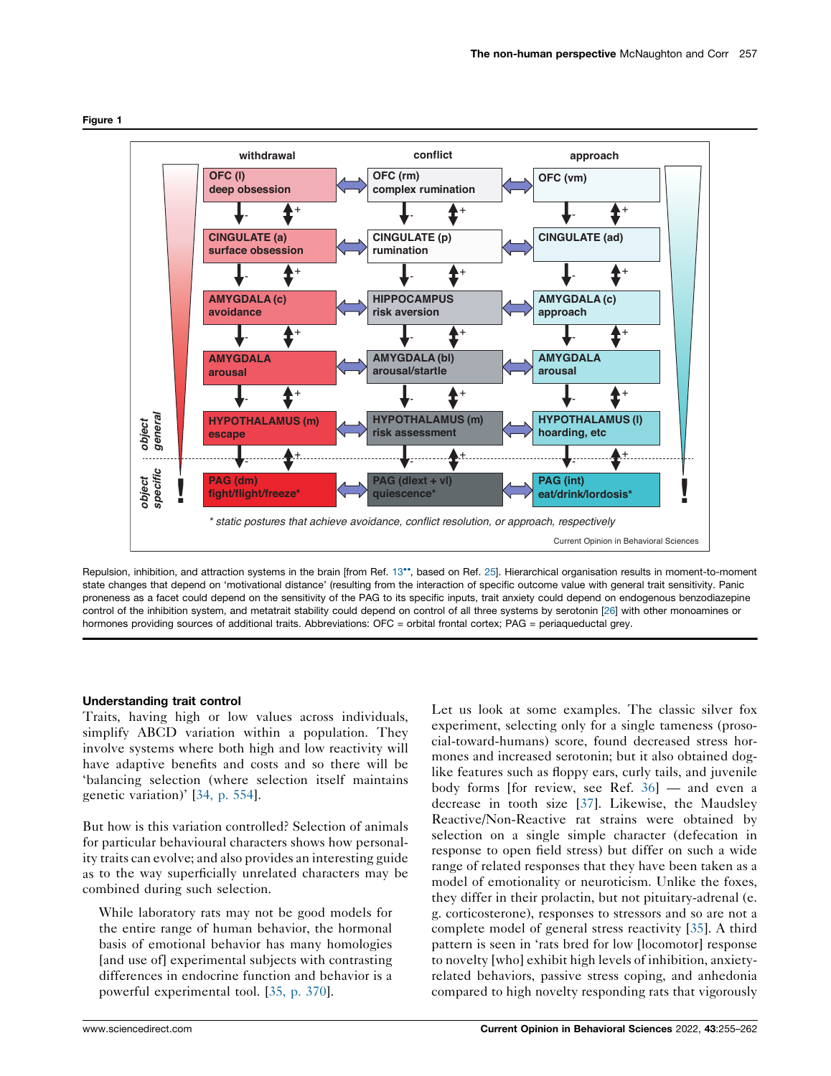

<span id="page-2-0"></span>Figure 1

Repulsion, inhibition, and attraction systems in the brain [from Ref. [13](#page-5-0)\*\*, based on Ref. [25\]](#page-6-0). Hierarchical organisation results in moment-to-moment state changes that depend on 'motivational distance' (resulting from the interaction of specific outcome value with general trait sensitivity. Panic proneness as a facet could depend on the sensitivity of the PAG to its specific inputs, trait anxiety could depend on endogenous benzodiazepine control of the inhibition system, and metatrait stability could depend on control of all three systems by serotonin [\[26\]](#page-6-0) with other monoamines or hormones providing sources of additional traits. Abbreviations: OFC = orbital frontal cortex; PAG = periaqueductal grey.

## Understanding trait control

Traits, having high or low values across individuals, simplify ABCD variation within a population. They involve systems where both high and low reactivity will have adaptive benefits and costs and so there will be 'balancing selection (where selection itself maintains genetic variation)' [34, p. [554\]](#page-6-0).

But how is this variation controlled? Selection of animals for particular behavioural characters shows how personality traits can evolve; and also provides an interesting guide as to the way superficially unrelated characters may be combined during such selection.

While laboratory rats may not be good models for the entire range of human behavior, the hormonal basis of emotional behavior has many homologies [and use of] experimental subjects with contrasting differences in endocrine function and behavior is a powerful experimental tool. [35, p. [370\]](#page-6-0).

Let us look at some examples. The classic silver fox experiment, selecting only for a single tameness (prosocial-toward-humans) score, found decreased stress hormones and increased serotonin; but it also obtained doglike features such as floppy ears, curly tails, and juvenile body forms [for review, see Ref. [36](#page-6-0)] — and even a decrease in tooth size [[37\]](#page-6-0). Likewise, the Maudsley Reactive/Non-Reactive rat strains were obtained by selection on a single simple character (defecation in response to open field stress) but differ on such a wide range of related responses that they have been taken as a model of emotionality or neuroticism. Unlike the foxes, they differ in their prolactin, but not pituitary-adrenal (e. g. corticosterone), responses to stressors and so are not a complete model of general stress reactivity [\[35](#page-6-0)]. A third pattern is seen in 'rats bred for low [locomotor] response to novelty [who] exhibit high levels of inhibition, anxietyrelated behaviors, passive stress coping, and anhedonia compared to high novelty responding rats that vigorously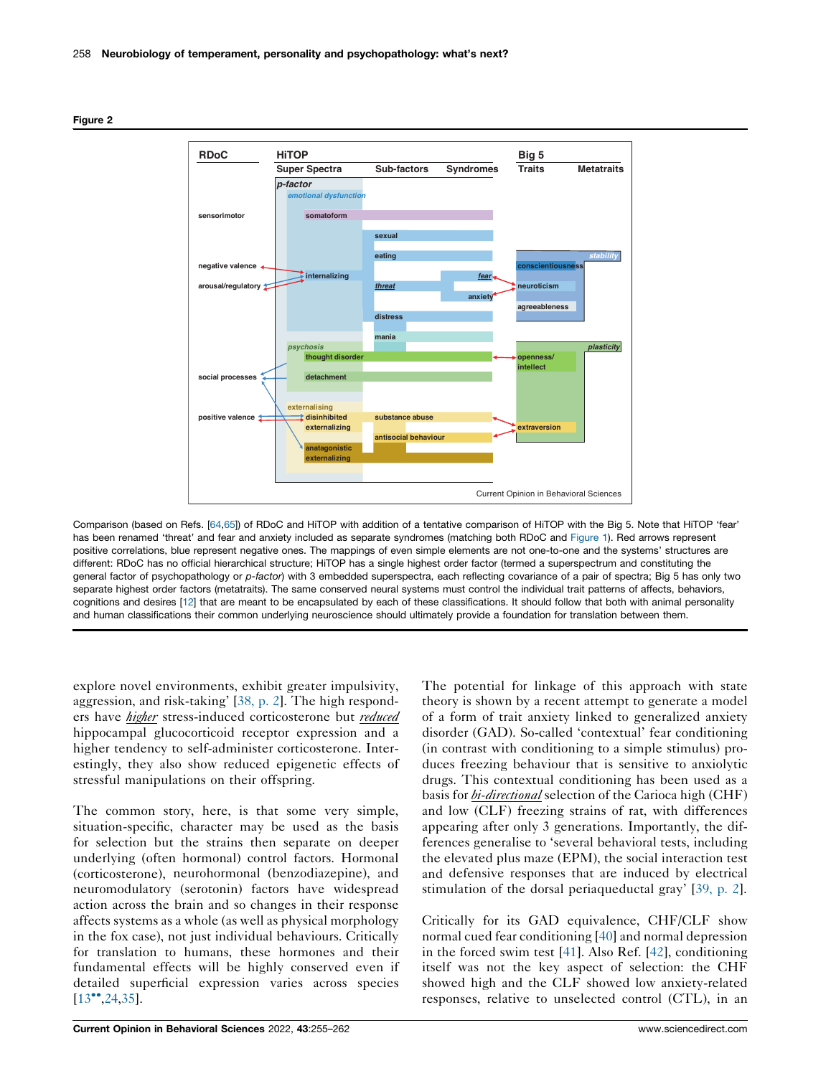

<span id="page-3-0"></span>

Comparison (based on Refs. [[64,65\]](#page-7-0)) of RDoC and HiTOP with addition of a tentative comparison of HiTOP with the Big 5. Note that HiTOP 'fear' has been renamed 'threat' and fear and anxiety included as separate syndromes (matching both RDoC and [Figure](#page-2-0) 1). Red arrows represent positive correlations, blue represent negative ones. The mappings of even simple elements are not one-to-one and the systems' structures are different: RDoC has no official hierarchical structure; HiTOP has a single highest order factor (termed a superspectrum and constituting the general factor of psychopathology or p-factor) with 3 embedded superspectra, each reflecting covariance of a pair of spectra; Big 5 has only two separate highest order factors (metatraits). The same conserved neural systems must control the individual trait patterns of affects, behaviors, cognitions and desires [[12\]](#page-5-0) that are meant to be encapsulated by each of these classifications. It should follow that both with animal personality and human classifications their common underlying neuroscience should ultimately provide a foundation for translation between them.

explore novel environments, exhibit greater impulsivity, aggression, and risk-taking' [\[38,](#page-6-0) p. 2]. The high responders have *higher* stress-induced corticosterone but *reduced* hippocampal glucocorticoid receptor expression and a higher tendency to self-administer corticosterone. Interestingly, they also show reduced epigenetic effects of stressful manipulations on their offspring.

The common story, here, is that some very simple, situation-specific, character may be used as the basis for selection but the strains then separate on deeper underlying (often hormonal) control factors. Hormonal (corticosterone), neurohormonal (benzodiazepine), and neuromodulatory (serotonin) factors have widespread action across the brain and so changes in their response affects systems as a whole (as well as physical morphology in the fox case), not just individual behaviours. Critically for translation to humans, these hormones and their fundamental effects will be highly conserved even if detailed superficial expression varies across species  $[13^{\bullet\bullet}, 24, 35]$  $[13^{\bullet\bullet}, 24, 35]$  $[13^{\bullet\bullet}, 24, 35]$ .

The potential for linkage of this approach with state theory is shown by a recent attempt to generate a model of a form of trait anxiety linked to generalized anxiety disorder (GAD). So-called 'contextual' fear conditioning (in contrast with conditioning to a simple stimulus) produces freezing behaviour that is sensitive to anxiolytic drugs. This contextual conditioning has been used as a basis for *bi-directional* selection of the Carioca high (CHF) and low (CLF) freezing strains of rat, with differences appearing after only 3 generations. Importantly, the differences generalise to 'several behavioral tests, including the elevated plus maze (EPM), the social interaction test and defensive responses that are induced by electrical stimulation of the dorsal periaqueductal gray' [[39,](#page-6-0) p. 2].

Critically for its GAD equivalence, CHF/CLF show normal cued fear conditioning [[40\]](#page-6-0) and normal depression in the forced swim test [\[41](#page-6-0)]. Also Ref. [\[42](#page-6-0)], conditioning itself was not the key aspect of selection: the CHF showed high and the CLF showed low anxiety-related responses, relative to unselected control (CTL), in an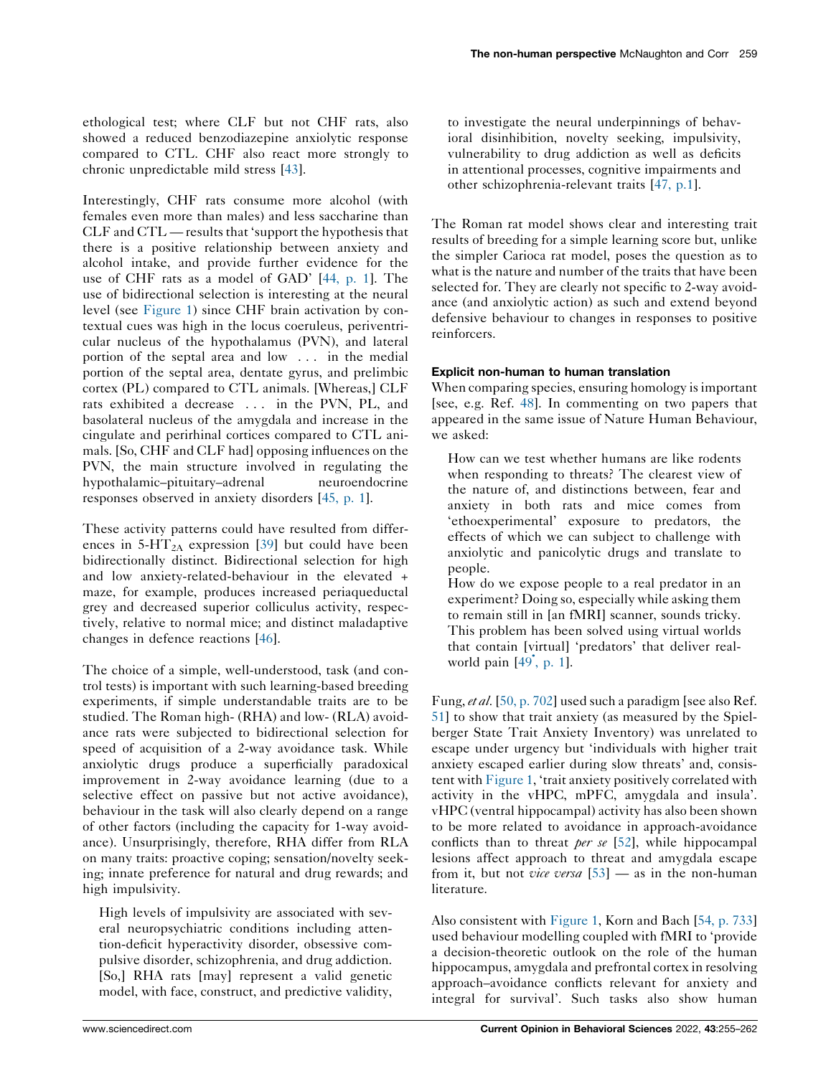ethological test; where CLF but not CHF rats, also showed a reduced benzodiazepine anxiolytic response compared to CTL. CHF also react more strongly to chronic unpredictable mild stress [\[43](#page-6-0)].

Interestingly, CHF rats consume more alcohol (with females even more than males) and less saccharine than  $CLF$  and  $CTL$  — results that 'support the hypothesis that there is a positive relationship between anxiety and alcohol intake, and provide further evidence for the use of CHF rats as a model of GAD' [\[44,](#page-6-0) p. 1]. The use of bidirectional selection is interesting at the neural level (see [Figure](#page-2-0) 1) since CHF brain activation by contextual cues was high in the locus coeruleus, periventricular nucleus of the hypothalamus (PVN), and lateral portion of the septal area and low . . . in the medial portion of the septal area, dentate gyrus, and prelimbic cortex (PL) compared to CTL animals. [Whereas,] CLF rats exhibited a decrease . . . in the PVN, PL, and basolateral nucleus of the amygdala and increase in the cingulate and perirhinal cortices compared to CTL animals. [So, CHF and CLF had] opposing influences on the PVN, the main structure involved in regulating the hypothalamic–pituitary–adrenal neuroendocrine responses observed in anxiety disorders [\[45,](#page-6-0) p. 1].

These activity patterns could have resulted from differences in  $5-\text{HT}_{2A}$  expression [[39\]](#page-6-0) but could have been bidirectionally distinct. Bidirectional selection for high and low anxiety-related-behaviour in the elevated + maze, for example, produces increased periaqueductal grey and decreased superior colliculus activity, respectively, relative to normal mice; and distinct maladaptive changes in defence reactions [\[46](#page-6-0)].

The choice of a simple, well-understood, task (and control tests) is important with such learning-based breeding experiments, if simple understandable traits are to be studied. The Roman high- (RHA) and low- (RLA) avoidance rats were subjected to bidirectional selection for speed of acquisition of a 2-way avoidance task. While anxiolytic drugs produce a superficially paradoxical improvement in 2-way avoidance learning (due to a selective effect on passive but not active avoidance), behaviour in the task will also clearly depend on a range of other factors (including the capacity for 1-way avoidance). Unsurprisingly, therefore, RHA differ from RLA on many traits: proactive coping; sensation/novelty seeking; innate preference for natural and drug rewards; and high impulsivity.

High levels of impulsivity are associated with several neuropsychiatric conditions including attention-deficit hyperactivity disorder, obsessive compulsive disorder, schizophrenia, and drug addiction. [So,] RHA rats [may] represent a valid genetic model, with face, construct, and predictive validity, to investigate the neural underpinnings of behavioral disinhibition, novelty seeking, impulsivity, vulnerability to drug addiction as well as deficits in attentional processes, cognitive impairments and other schizophrenia-relevant traits [47, [p.1](#page-6-0)].

The Roman rat model shows clear and interesting trait results of breeding for a simple learning score but, unlike the simpler Carioca rat model, poses the question as to what is the nature and number of the traits that have been selected for. They are clearly not specific to 2-way avoidance (and anxiolytic action) as such and extend beyond defensive behaviour to changes in responses to positive reinforcers.

## Explicit non-human to human translation

When comparing species, ensuring homology is important [see, e.g. Ref. [48\]](#page-6-0). In commenting on two papers that appeared in the same issue of Nature Human Behaviour, we asked:

How can we test whether humans are like rodents when responding to threats? The clearest view of the nature of, and distinctions between, fear and anxiety in both rats and mice comes from 'ethoexperimental' exposure to predators, the effects of which we can subject to challenge with anxiolytic and panicolytic drugs and translate to people.

How do we expose people to a real predator in an experiment? Doing so, especially while asking them to remain still in [an fMRI] scanner, sounds tricky. This problem has been solved using virtual worlds that contain [virtual] 'predators' that deliver real-world pain [\[49](#page-6-0)<sup>°</sup>, p. 1].

Fung, et al. [50, p. [702\]](#page-6-0) used such a paradigm [see also Ref. [51](#page-6-0)] to show that trait anxiety (as measured by the Spielberger State Trait Anxiety Inventory) was unrelated to escape under urgency but 'individuals with higher trait anxiety escaped earlier during slow threats' and, consistent with [Figure](#page-2-0) 1, 'trait anxiety positively correlated with activity in the vHPC, mPFC, amygdala and insula'. vHPC (ventral hippocampal) activity has also been shown to be more related to avoidance in approach-avoidance conflicts than to threat *per se* [[52\]](#page-6-0), while hippocampal lesions affect approach to threat and amygdala escape from it, but not *vice versa*  $[53]$  $[53]$  — as in the non-human literature.

Also consistent with [Figure](#page-2-0) 1, Korn and Bach [54, p. [733](#page-6-0)] used behaviour modelling coupled with fMRI to 'provide a decision-theoretic outlook on the role of the human hippocampus, amygdala and prefrontal cortex in resolving approach–avoidance conflicts relevant for anxiety and integral for survival'. Such tasks also show human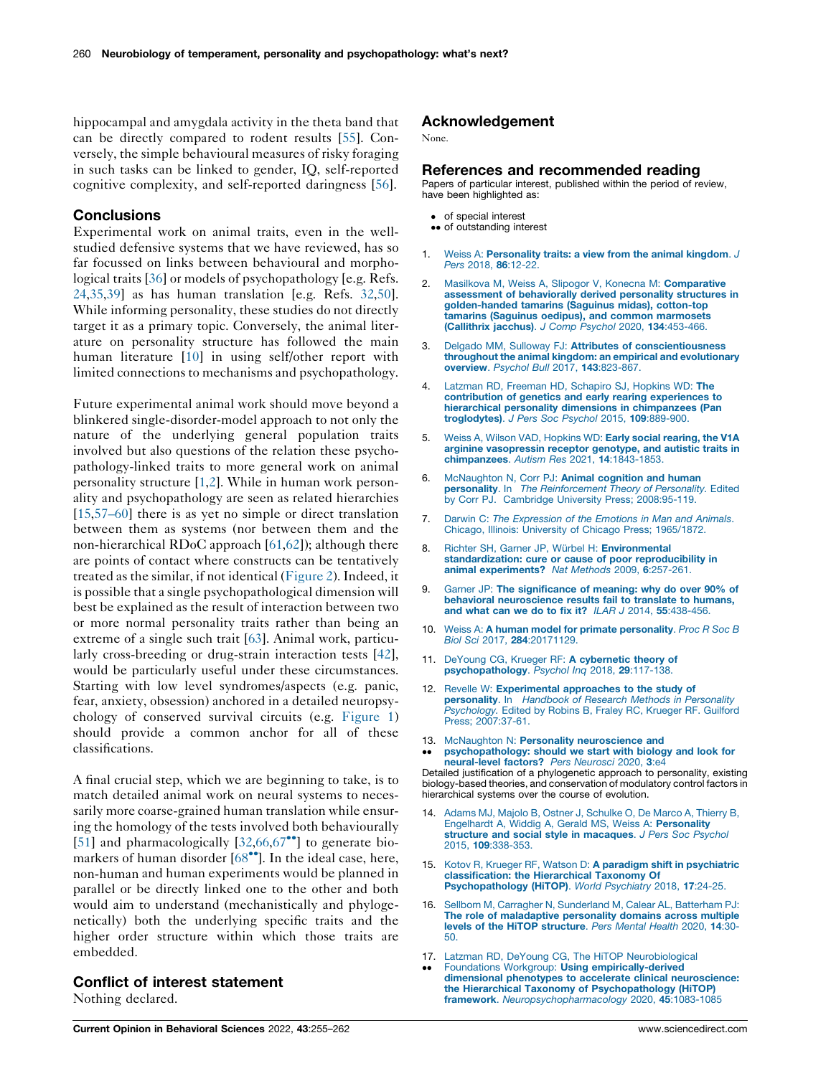<span id="page-5-0"></span>hippocampal and amygdala activity in the theta band that can be directly compared to rodent results [[55\]](#page-6-0). Conversely, the simple behavioural measures of risky foraging in such tasks can be linked to gender, IQ, self-reported cognitive complexity, and self-reported daringness [[56\]](#page-7-0).

## **Conclusions**

Experimental work on animal traits, even in the wellstudied defensive systems that we have reviewed, has so far focussed on links between behavioural and morphological traits [[36\]](#page-6-0) or models of psychopathology [e.g. Refs. [24,35](#page-6-0),[39\]](#page-6-0) as has human translation [e.g. Refs. [32,50](#page-6-0)]. While informing personality, these studies do not directly target it as a primary topic. Conversely, the animal literature on personality structure has followed the main human literature [10] in using self/other report with limited connections to mechanisms and psychopathology.

Future experimental animal work should move beyond a blinkered single-disorder-model approach to not only the nature of the underlying general population traits involved but also questions of the relation these psychopathology-linked traits to more general work on animal personality structure [1,2]. While in human work personality and psychopathology are seen as related hierarchies [15,[57–60\]](#page-7-0) there is as yet no simple or direct translation between them as systems (nor between them and the non-hierarchical RDoC approach [\[61](#page-7-0),[62\]](#page-7-0)); although there are points of contact where constructs can be tentatively treated as the similar, if not identical [\(Figure](#page-3-0) 2). Indeed, it is possible that a single psychopathological dimension will best be explained as the result of interaction between two or more normal personality traits rather than being an extreme of a single such trait [\[63](#page-7-0)]. Animal work, particularly cross-breeding or drug-strain interaction tests [\[42](#page-6-0)], would be particularly useful under these circumstances. Starting with low level syndromes/aspects (e.g. panic, fear, anxiety, obsession) anchored in a detailed neuropsychology of conserved survival circuits (e.g. [Figure](#page-2-0) 1) should provide a common anchor for all of these classifications.

A final crucial step, which we are beginning to take, is to match detailed animal work on neural systems to necessarily more coarse-grained human translation while ensuring the homology of the tests involved both behaviourally [\[51](#page-6-0)] and pharmacologically  $[32,66,67^{\bullet\bullet}]$  $[32,66,67^{\bullet\bullet}]$  $[32,66,67^{\bullet\bullet}]$  $[32,66,67^{\bullet\bullet}]$  to [generate](#page-7-0) biomarkers of human disorder  $[68\text{°}$  $[68\text{°}$ . In the ideal case, here, non-human and human experiments would be planned in parallel or be directly linked one to the other and both would aim to understand (mechanistically and phylogenetically) both the underlying specific traits and the higher order structure within which those traits are embedded.

## Conflict of interest statement

Nothing declared.

## Acknowledgement

None.

#### References and recommended reading

Papers of particular interest, published within the period of review, have been highlighted as:

- of special interest
- •• of outstanding interest
- 1. Weiss A: [Personality](http://refhub.elsevier.com/S2352-1546(21)00197-2/sbref0005) traits: a view from the animal kingdom. J Pers 2018, 86:12-22
- 2. Masilkova M, Weiss A, Slipogor V, Konecna M: [Comparative](http://refhub.elsevier.com/S2352-1546(21)00197-2/sbref0010) assessment of [behaviorally](http://refhub.elsevier.com/S2352-1546(21)00197-2/sbref0010) derived personality structures in [golden-handed](http://refhub.elsevier.com/S2352-1546(21)00197-2/sbref0010) tamarins (Saguinus midas), cotton-top tamarins (Saguinus oedipus), and common [marmosets](http://refhub.elsevier.com/S2352-1546(21)00197-2/sbref0010)<br>[\(Callithrix](http://refhub.elsevier.com/S2352-1546(21)00197-2/sbref0010) jacchus). J Comp Psychol 2020, 134:453-466.
- 3. Delgado MM, Sulloway FJ: Attributes of [conscientiousness](http://refhub.elsevier.com/S2352-1546(21)00197-2/sbref0015) throughout the animal kingdom: an empirical and [evolutionary](http://refhub.elsevier.com/S2352-1546(21)00197-2/sbref0015) overview. Psychol Bull 2017, 143[:823-867.](http://refhub.elsevier.com/S2352-1546(21)00197-2/sbref0015)
- 4. Latzman RD, Freeman HD, [Schapiro](http://refhub.elsevier.com/S2352-1546(21)00197-2/sbref0020) SJ, Hopkins WD: The contribution of genetics and early rearing [experiences](http://refhub.elsevier.com/S2352-1546(21)00197-2/sbref0020) to hierarchical personality dimensions in [chimpanzees](http://refhub.elsevier.com/S2352-1546(21)00197-2/sbref0020) (Pan [troglodytes\)](http://refhub.elsevier.com/S2352-1546(21)00197-2/sbref0020). J Pers Soc Psychol 2015, 109:889-900.
- 5. Weiss A, Wilson VAD, [Hopkins](http://refhub.elsevier.com/S2352-1546(21)00197-2/sbref0025) WD: Early social rearing, the V1A arginine [vasopressin](http://refhub.elsevier.com/S2352-1546(21)00197-2/sbref0025) receptor genotype, and autistic traits in [chimpanzees](http://refhub.elsevier.com/S2352-1546(21)00197-2/sbref0025). Autism Res 2021, 14:1843-1853.
- 6. [McNaughton](http://refhub.elsevier.com/S2352-1546(21)00197-2/sbref0030) N, Corr PJ: Animal cognition and human personality. In The [Reinforcement](http://refhub.elsevier.com/S2352-1546(21)00197-2/sbref0030) Theory of Personality. Edited by Corr PJ. Cambridge University Press; [2008:95-119.](http://refhub.elsevier.com/S2352-1546(21)00197-2/sbref0030)
- 7. Darwin C: The [Expression](http://refhub.elsevier.com/S2352-1546(21)00197-2/sbref0035) of the Emotions in Man and Animals. Chicago, Illinois: University of Chicago Press; [1965/1872.](http://refhub.elsevier.com/S2352-1546(21)00197-2/sbref0035)
- 8. Richter SH, Garner JP, Würbel H: [Environmental](http://refhub.elsevier.com/S2352-1546(21)00197-2/sbref0040) [standardization:](http://refhub.elsevier.com/S2352-1546(21)00197-2/sbref0040) cure or cause of poor reproducibility in animal [experiments?](http://refhub.elsevier.com/S2352-1546(21)00197-2/sbref0040) Nat Methods 2009, 6:257-261.
- 9. Garner JP: The [significance](http://refhub.elsevier.com/S2352-1546(21)00197-2/sbref0045) of meaning: why do over 90% of behavioral [neuroscience](http://refhub.elsevier.com/S2352-1546(21)00197-2/sbref0045) results fail to translate to humans, and what can we do to fix it? ILAR J 2014, 55[:438-456.](http://refhub.elsevier.com/S2352-1546(21)00197-2/sbref0045)
- 10. Weiss A: A human model for primate [personality](http://refhub.elsevier.com/S2352-1546(21)00197-2/sbref0050). Proc R Soc B Biol Sci 2017, 284[:20171129.](http://refhub.elsevier.com/S2352-1546(21)00197-2/sbref0050)
- 11. DeYoung CG, Krueger RF: A [cybernetic](http://refhub.elsevier.com/S2352-1546(21)00197-2/sbref0055) theory of [psychopathology](http://refhub.elsevier.com/S2352-1546(21)00197-2/sbref0055). Psychol Inq 2018, 29:117-138.
- 12. Revelle W: [Experimental](http://refhub.elsevier.com/S2352-1546(21)00197-2/sbref0060) approaches to the study of [personality](http://refhub.elsevier.com/S2352-1546(21)00197-2/sbref0060). In Handbook of Research Methods in Personality [Psychology.](http://refhub.elsevier.com/S2352-1546(21)00197-2/sbref0060) Edited by Robins B, Fraley RC, Krueger RF. Guilford Press; [2007:37-61](http://refhub.elsevier.com/S2352-1546(21)00197-2/sbref0060).
- 13. McNaughton N: Personality [neuroscience](http://refhub.elsevier.com/S2352-1546(21)00197-2/sbref0065) and
- $\ddot{\phantom{0}}$ [psychopathology:](http://refhub.elsevier.com/S2352-1546(21)00197-2/sbref0065) should we start with biology and look for [neural-level](http://refhub.elsevier.com/S2352-1546(21)00197-2/sbref0065) factors? Pers Neurosci 2020, 3:e4

Detailed justification of a phylogenetic approach to personality, existing biology-based theories, and conservation of modulatory control factors in hierarchical systems over the course of evolution.

- Adams MJ, Majolo B, Ostner J, [Schulke](http://refhub.elsevier.com/S2352-1546(21)00197-2/sbref0070) O, De Marco A, Thierry B, Engelhardt A, Widdig A, Gerald MS, Weiss A: [Personality](http://refhub.elsevier.com/S2352-1546(21)00197-2/sbref0070) structure and social style in [macaques](http://refhub.elsevier.com/S2352-1546(21)00197-2/sbref0070). J Pers Soc Psychol 2015, 109[:338-353.](http://refhub.elsevier.com/S2352-1546(21)00197-2/sbref0070)
- 15. Kotov R, Krueger RF, Watson D: A paradigm shift in [psychiatric](http://refhub.elsevier.com/S2352-1546(21)00197-2/sbref0075) [classification:](http://refhub.elsevier.com/S2352-1546(21)00197-2/sbref0075) the Hierarchical Taxonomy Of [Psychopathology](http://refhub.elsevier.com/S2352-1546(21)00197-2/sbref0075) (HiTOP). World Psychiatry 2018, 17:24-25.
- 16. Sellbom M, Carragher N, [Sunderland](http://refhub.elsevier.com/S2352-1546(21)00197-2/sbref0080) M, Calear AL, Batterham PJ: The role of [maladaptive](http://refhub.elsevier.com/S2352-1546(21)00197-2/sbref0080) personality domains across multiple levels of the HiTOP [structure](http://refhub.elsevier.com/S2352-1546(21)00197-2/sbref0080). Pers Mental Health 2020, 14:30- [50.](http://refhub.elsevier.com/S2352-1546(21)00197-2/sbref0080)
- 17. Latzman RD, DeYoung CG, The HiTOP [Neurobiological](http://refhub.elsevier.com/S2352-1546(21)00197-2/sbref0085)  $\ddot{\phantom{0}}$ Foundations Workgroup: Using [empirically-derived](http://refhub.elsevier.com/S2352-1546(21)00197-2/sbref0085) dimensional phenotypes to accelerate clinical [neuroscience:](http://refhub.elsevier.com/S2352-1546(21)00197-2/sbref0085) the Hierarchical Taxonomy of [Psychopathology](http://refhub.elsevier.com/S2352-1546(21)00197-2/sbref0085) (HiTOP) framework. [Neuropsychopharmacology](http://refhub.elsevier.com/S2352-1546(21)00197-2/sbref0085) 2020, 45:1083-1085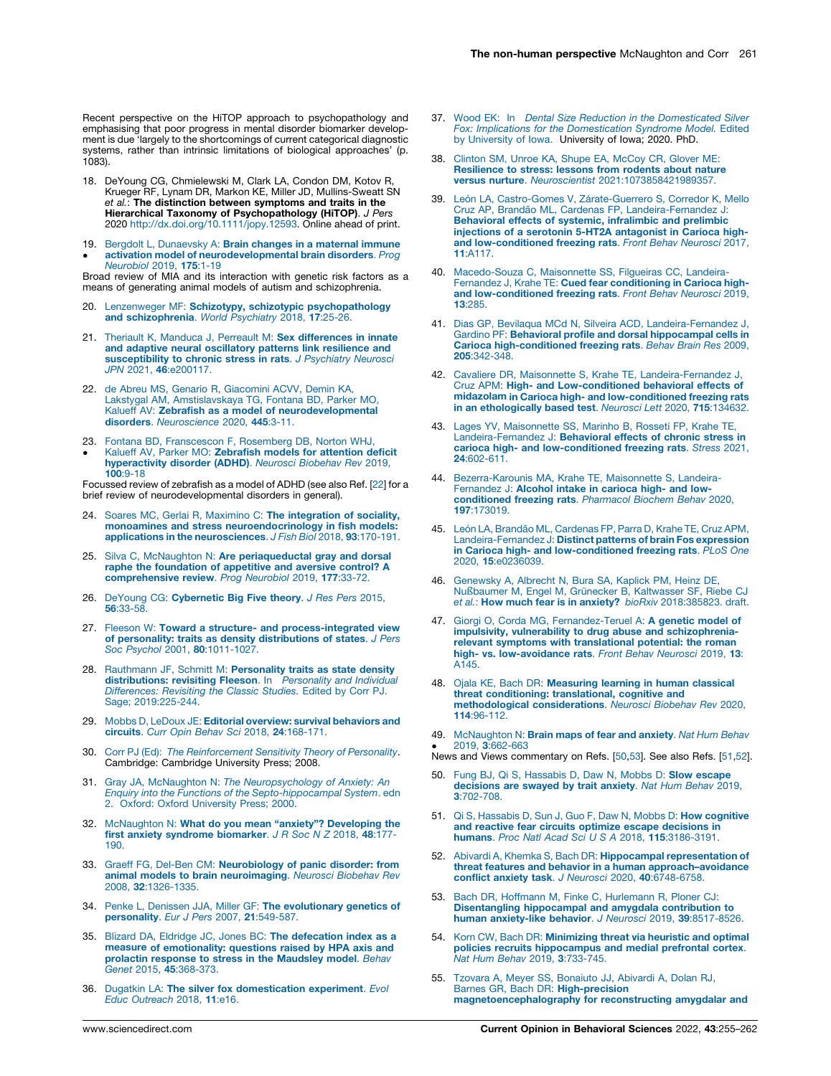<span id="page-6-0"></span>Recent perspective on the HiTOP approach to psychopathology and emphasising that poor progress in mental disorder biomarker development is due 'largely to the shortcomings of current categorical diagnostic systems, rather than intrinsic limitations of biological approaches' (p. 1083).

- 18. DeYoung CG, Chmielewski M, Clark LA, Condon DM, Kotov R, Krueger RF, Lynam DR, Markon KE, Miller JD, Mullins-Sweatt SN et al.: The distinction between symptoms and traits in the Hierarchical Taxonomy of Psychopathology (HiTOP). J Pers 2020 <http://dx.doi.org/10.1111/jopy.12593>. Online ahead of print.
- 19. Bergdolt L, [Dunaevsky](http://refhub.elsevier.com/S2352-1546(21)00197-2/sbref0095) A: Brain changes in a maternal immune .<br>. activation model of [neurodevelopmental](http://refhub.elsevier.com/S2352-1546(21)00197-2/sbref0095) brain disorders. Prog [Neurobiol](http://refhub.elsevier.com/S2352-1546(21)00197-2/sbref0095) 2019, 175:1-19

Broad review of MIA and its interaction with genetic risk factors as a means of generating animal models of autism and schizophrenia.

- 20. Lenzenweger MF: Schizotypy, schizotypic [psychopathology](http://refhub.elsevier.com/S2352-1546(21)00197-2/sbref0100)<br>and [schizophrenia](http://refhub.elsevier.com/S2352-1546(21)00197-2/sbref0100). World Psychiatry 2018, 17:25-26.
- 21. Theriault K, Manduca J, Perreault M: Sex [differences](http://refhub.elsevier.com/S2352-1546(21)00197-2/sbref0105) in innate and adaptive neural [oscillatory](http://refhub.elsevier.com/S2352-1546(21)00197-2/sbref0105) patterns link resilience and [susceptibility](http://refhub.elsevier.com/S2352-1546(21)00197-2/sbref0105) to chronic stress in rats. J Psychiatry Neurosci JPN 2021, 46[:e200117.](http://refhub.elsevier.com/S2352-1546(21)00197-2/sbref0105)
- 22. de Abreu MS, Genario R, [Giacomini](http://refhub.elsevier.com/S2352-1546(21)00197-2/sbref0110) ACVV, Demin KA, Lakstygal AM, [Amstislavskaya](http://refhub.elsevier.com/S2352-1546(21)00197-2/sbref0110) TG, Fontana BD, Parker MO, Kalueff AV: Zebrafish as a model of [neurodevelopmental](http://refhub.elsevier.com/S2352-1546(21)00197-2/sbref0110) disorders. [Neuroscience](http://refhub.elsevier.com/S2352-1546(21)00197-2/sbref0110) 2020, 445:3-11.
- 23. Fontana BD, [Franscescon](http://refhub.elsevier.com/S2352-1546(21)00197-2/sbref0115) F, Rosemberg DB, Norton WHJ,  $\bullet$ Kalueff AV, Parker MO: [Zebrafish](http://refhub.elsevier.com/S2352-1546(21)00197-2/sbref0115) models for attention deficit [hyperactivity](http://refhub.elsevier.com/S2352-1546(21)00197-2/sbref0115) disorder (ADHD). Neurosci Biobehav Rev 2019, 100[:9-18](http://refhub.elsevier.com/S2352-1546(21)00197-2/sbref0115)

Focussed review of zebrafish as a model of ADHD (see also Ref. [22] for a brief review of neurodevelopmental disorders in general).

- Soares MC, Gerlai R, Maximino C: The [integration](http://refhub.elsevier.com/S2352-1546(21)00197-2/sbref0120) of sociality, monoamines and stress [neuroendocrinology](http://refhub.elsevier.com/S2352-1546(21)00197-2/sbref0120) in fish models: applications in the [neurosciences](http://refhub.elsevier.com/S2352-1546(21)00197-2/sbref0120). J Fish Biol 2018, 93:170-191.
- 25. Silva C, McNaughton N: Are [periaqueductal](http://refhub.elsevier.com/S2352-1546(21)00197-2/sbref0125) gray and dorsal raphe the [foundation](http://refhub.elsevier.com/S2352-1546(21)00197-2/sbref0125) of appetitive and aversive control? A [comprehensive](http://refhub.elsevier.com/S2352-1546(21)00197-2/sbref0125) review. Prog Neurobiol 2019, 177:33-72.
- 26. DeYoung CG: [Cybernetic](http://refhub.elsevier.com/S2352-1546(21)00197-2/sbref0130) Big Five theory. J Res Pers 2015, 56[:33-58.](http://refhub.elsevier.com/S2352-1546(21)00197-2/sbref0130)
- 27. Fleeson W: Toward a structure- and [process-integrated](http://refhub.elsevier.com/S2352-1546(21)00197-2/sbref0135) view of personality: traits as density [distributions](http://refhub.elsevier.com/S2352-1546(21)00197-2/sbref0135) of states. J Pers Soc Psychol 2001, 80[:1011-1027.](http://refhub.elsevier.com/S2352-1546(21)00197-2/sbref0135)
- 28. Rauthmann JF, Schmitt M: [Personality](http://refhub.elsevier.com/S2352-1546(21)00197-2/sbref0140) traits as state density [distributions:](http://refhub.elsevier.com/S2352-1546(21)00197-2/sbref0140) revisiting Fleeson. In Personality and Individual [Differences:](http://refhub.elsevier.com/S2352-1546(21)00197-2/sbref0140) Revisiting the Classic Studies. Edited by Corr PJ. Sage; [2019:225-244](http://refhub.elsevier.com/S2352-1546(21)00197-2/sbref0140).
- 29. Mobbs D, LeDoux JE: Editorial overview: survival [behaviors](http://refhub.elsevier.com/S2352-1546(21)00197-2/sbref0145) and circuits. Curr Opin Behav Sci 2018, 24[:168-171.](http://refhub.elsevier.com/S2352-1546(21)00197-2/sbref0145)
- 30. Corr PJ (Ed): The [Reinforcement](http://refhub.elsevier.com/S2352-1546(21)00197-2/sbref0150) Sensitivity Theory of Personality. Cambridge: Cambridge University Press; 2008.
- 31. Gray JA, McNaughton N: The [Neuropsychology](http://refhub.elsevier.com/S2352-1546(21)00197-2/sbref0155) of Anxiety: An Enquiry into the Functions of the [Septo-hippocampal](http://refhub.elsevier.com/S2352-1546(21)00197-2/sbref0155) System. edn 2. Oxford: Oxford [University](http://refhub.elsevier.com/S2352-1546(21)00197-2/sbref0155) Press; 2000.
- 32. [McNaughton](http://refhub.elsevier.com/S2352-1546(21)00197-2/sbref0160) N: What do you mean "anxiety"? Developing the first anxiety syndrome [biomarker](http://refhub.elsevier.com/S2352-1546(21)00197-2/sbref0160). J R Soc N Z 2018, 48:177- [190.](http://refhub.elsevier.com/S2352-1546(21)00197-2/sbref0160)
- 33. Graeff FG, Del-Ben CM: [Neurobiology](http://refhub.elsevier.com/S2352-1546(21)00197-2/sbref0165) of panic disorder: from **animal models to brain [neuroimaging](http://refhub.elsevier.com/S2352-1546(21)00197-2/sbref0165)**. *Neurosci Biobehav Rev*<br>2008, **32**[:1326-1335.](http://refhub.elsevier.com/S2352-1546(21)00197-2/sbref0165)
- 34. Penke L, Denissen JJA, Miller GF: The [evolutionary](http://refhub.elsevier.com/S2352-1546(21)00197-2/sbref0170) genetics of [personality](http://refhub.elsevier.com/S2352-1546(21)00197-2/sbref0170). Eur J Pers 2007, 21:549-587.
- 35. Blizard DA, Eldridge JC, Jones BC: The [defecation](http://refhub.elsevier.com/S2352-1546(21)00197-2/sbref0175) index as a measure of [emotionality:](http://refhub.elsevier.com/S2352-1546(21)00197-2/sbref0175) questions raised by HPA axis and prolactin response to stress in the [Maudsley](http://refhub.elsevier.com/S2352-1546(21)00197-2/sbref0175) model. Behav Genet 2015, 45[:368-373.](http://refhub.elsevier.com/S2352-1546(21)00197-2/sbref0175)
- 36. Dugatkin LA: The silver fox [domestication](http://refhub.elsevier.com/S2352-1546(21)00197-2/sbref0180) experiment. Evol Educ [Outreach](http://refhub.elsevier.com/S2352-1546(21)00197-2/sbref0180) 2018, 11:e16.
- 37. Wood EK: In Dental Size Reduction in the [Domesticated](http://refhub.elsevier.com/S2352-1546(21)00197-2/sbref0185) Silver Fox: Implications for the [Domestication](http://refhub.elsevier.com/S2352-1546(21)00197-2/sbref0185) Syndrome Model. Edited by [University](http://refhub.elsevier.com/S2352-1546(21)00197-2/sbref0185) of Iowa. University of Iowa; 2020. PhD.
- 38. Clinton SM, Unroe KA, Shupe EA, [McCoy](http://refhub.elsevier.com/S2352-1546(21)00197-2/sbref0190) CR, Glover ME: [Resilience](http://refhub.elsevier.com/S2352-1546(21)00197-2/sbref0190) to stress: lessons from rodents about nature versus nurture. Neuroscientist [2021:1073858421989357.](http://refhub.elsevier.com/S2352-1546(21)00197-2/sbref0190)
- 39. León LA, Castro-Gomes V, Zárate-Guerrero S, Corredor K, Mello<br>Cruz AP, Brandão ML, Cardenas FP, [Landeira-Fernandez](http://refhub.elsevier.com/S2352-1546(21)00197-2/sbref0195) J: Behavioral effects of systemic, [infralimbic](http://refhub.elsevier.com/S2352-1546(21)00197-2/sbref0195) and prelimbic injections of a serotonin 5-HT2A [antagonist](http://refhub.elsevier.com/S2352-1546(21)00197-2/sbref0195) in Carioca highand [low-conditioned](http://refhub.elsevier.com/S2352-1546(21)00197-2/sbref0195) freezing rats. Front Behav Neurosci 2017, 11[:A117.](http://refhub.elsevier.com/S2352-1546(21)00197-2/sbref0195)
- 40. [Macedo-Souza](http://refhub.elsevier.com/S2352-1546(21)00197-2/sbref0200) C, Maisonnette SS, Filgueiras CC, Landeira-Fernandez J, Krahe TE: Cued fear [conditioning](http://refhub.elsevier.com/S2352-1546(21)00197-2/sbref0200) in Carioca highand [low-conditioned](http://refhub.elsevier.com/S2352-1546(21)00197-2/sbref0200) freezing rats. Front Behav Neurosci 2019, 13[:285.](http://refhub.elsevier.com/S2352-1546(21)00197-2/sbref0200)
- 41. Dias GP, Bevilaqua MCd N, Silveira ACD, [Landeira-Fernandez](http://refhub.elsevier.com/S2352-1546(21)00197-2/sbref0205) J, Gardino PF: Behavioral profile and dorsal [hippocampal](http://refhub.elsevier.com/S2352-1546(21)00197-2/sbref0205) cells in Carioca [high-conditioned](http://refhub.elsevier.com/S2352-1546(21)00197-2/sbref0205) freezing rats. Behav Brain Res 2009, 205[:342-348.](http://refhub.elsevier.com/S2352-1546(21)00197-2/sbref0205)
- 42. Cavaliere DR, Maisonnette S, Krahe TE, [Landeira-Fernandez](http://refhub.elsevier.com/S2352-1546(21)00197-2/sbref0210) J, Cruz APM: High- and [Low-conditioned](http://refhub.elsevier.com/S2352-1546(21)00197-2/sbref0210) behavioral effects of midazolam in Carioca high- and [low-conditioned](http://refhub.elsevier.com/S2352-1546(21)00197-2/sbref0210) freezing rats in an [ethologically](http://refhub.elsevier.com/S2352-1546(21)00197-2/sbref0210) based test. Neurosci Lett 2020, 715:134632.
- 43. Lages YV, [Maisonnette](http://refhub.elsevier.com/S2352-1546(21)00197-2/sbref0215) SS, Marinho B, Rosseti FP, Krahe TE, [Landeira-Fernandez](http://refhub.elsevier.com/S2352-1546(21)00197-2/sbref0215) J: Behavioral effects of chronic stress in carioca high- and [low-conditioned](http://refhub.elsevier.com/S2352-1546(21)00197-2/sbref0215) freezing rats. Stress 2021, 24[:602-611.](http://refhub.elsevier.com/S2352-1546(21)00197-2/sbref0215)
- 44. [Bezerra-Karounis](http://refhub.elsevier.com/S2352-1546(21)00197-2/sbref0220) MA, Krahe TE, Maisonnette S, Landeira-[Fernandez](http://refhub.elsevier.com/S2352-1546(21)00197-2/sbref0220) J: Alcohol intake in carioca high- and low[conditioned](http://refhub.elsevier.com/S2352-1546(21)00197-2/sbref0220) freezing rats. Pharmacol Biochem Behav 2020, 197[:173019.](http://refhub.elsevier.com/S2352-1546(21)00197-2/sbref0220)
- 45. León LA, Brandão ML, [Cardenas](http://refhub.elsevier.com/S2352-1546(21)00197-2/sbref0225) FP, Parra D, Krahe TE, Cruz APM, [Landeira-Fernandez](http://refhub.elsevier.com/S2352-1546(21)00197-2/sbref0225) J: Distinct patterns of brain Fos expression in Carioca high- and [low-conditioned](http://refhub.elsevier.com/S2352-1546(21)00197-2/sbref0225) freezing rats. PLoS One 2020, 15[:e0236039.](http://refhub.elsevier.com/S2352-1546(21)00197-2/sbref0225)
- 46. [Genewsky](http://refhub.elsevier.com/S2352-1546(21)00197-2/sbref0230) A, Albrecht N, Bura SA, Kaplick PM, Heinz DE, Nußbaumer M, Engel M, Grünecker B, [Kaltwasser](http://refhub.elsevier.com/S2352-1546(21)00197-2/sbref0230) SF, Riebe CJ et al.: How much fear is in anxiety? bioRxiv [2018:385823.](http://refhub.elsevier.com/S2352-1546(21)00197-2/sbref0230) draft.
- 47. Giorgi O, Corda MG, [Fernandez-Teruel](http://refhub.elsevier.com/S2352-1546(21)00197-2/sbref0235) A: A genetic model of impulsivity, vulnerability to drug abuse and [schizophrenia](http://refhub.elsevier.com/S2352-1546(21)00197-2/sbref0235)relevant symptoms with [translational](http://refhub.elsevier.com/S2352-1546(21)00197-2/sbref0235) potential: the roman high- vs. [low-avoidance](http://refhub.elsevier.com/S2352-1546(21)00197-2/sbref0235) rats. Front Behav Neurosci 2019, 13: [A145.](http://refhub.elsevier.com/S2352-1546(21)00197-2/sbref0235)
- 48. Ojala KE, Bach DR: [Measuring](http://refhub.elsevier.com/S2352-1546(21)00197-2/sbref0240) learning in human classical threat [conditioning:](http://refhub.elsevier.com/S2352-1546(21)00197-2/sbref0240) translational, cognitive and [methodological](http://refhub.elsevier.com/S2352-1546(21)00197-2/sbref0240) considerations. Neurosci Biobehav Rev 2020, 114[:96-112.](http://refhub.elsevier.com/S2352-1546(21)00197-2/sbref0240)
- 49. [McNaughton](http://refhub.elsevier.com/S2352-1546(21)00197-2/sbref0245) N: Brain maps of fear and anxiety. Nat Hum Behav 2019, 3[:662-663](http://refhub.elsevier.com/S2352-1546(21)00197-2/sbref0245)
- News and Views commentary on Refs. [50,53]. See also Refs. [51,52].
- 50. Fung BJ, Qi S, [Hassabis](http://refhub.elsevier.com/S2352-1546(21)00197-2/sbref0250) D, Daw N, Mobbs D: Slow escape [decisions](http://refhub.elsevier.com/S2352-1546(21)00197-2/sbref0250) are swayed by trait anxiety. Nat Hum Behav 2019, 3[:702-708.](http://refhub.elsevier.com/S2352-1546(21)00197-2/sbref0250)
- 51. Qi S, Hassabis D, Sun J, Guo F, Daw N, Mobbs D: How [cognitive](http://refhub.elsevier.com/S2352-1546(21)00197-2/sbref0255) and reactive fear circuits optimize escape [decisions](http://refhub.elsevier.com/S2352-1546(21)00197-2/sbref0255) in humans. Proc Natl Acad Sci U S A 2018, 115[:3186-3191.](http://refhub.elsevier.com/S2352-1546(21)00197-2/sbref0255)
- 52. Abivardi A, Khemka S, Bach DR: Hippocampal [representation](http://refhub.elsevier.com/S2352-1546(21)00197-2/sbref0260) of threat features and behavior in a human [approach–avoidance](http://refhub.elsevier.com/S2352-1546(21)00197-2/sbref0260) conflict anxiety task. J Neurosci 2020, 40[:6748-6758.](http://refhub.elsevier.com/S2352-1546(21)00197-2/sbref0260)
- 53. Bach DR, Hoffmann M, Finke C, [Hurlemann](http://refhub.elsevier.com/S2352-1546(21)00197-2/sbref0265) R, Ploner CJ: [Disentangling](http://refhub.elsevier.com/S2352-1546(21)00197-2/sbref0265) hippocampal and amygdala contribution to human [anxiety-like](http://refhub.elsevier.com/S2352-1546(21)00197-2/sbref0265) behavior. J Neurosci 2019, 39:8517-8526.
- 54. Korn CW, Bach DR: [Minimizing](http://refhub.elsevier.com/S2352-1546(21)00197-2/sbref0270) threat via heuristic and optimal policies recruits [hippocampus](http://refhub.elsevier.com/S2352-1546(21)00197-2/sbref0270) and medial prefrontal cortex. Nat Hum Behav 2019, 3[:733-745.](http://refhub.elsevier.com/S2352-1546(21)00197-2/sbref0270)
- 55. Tzovara A, Meyer SS, [Bonaiuto](http://refhub.elsevier.com/S2352-1546(21)00197-2/sbref0275) JJ, Abivardi A, Dolan RJ, Barnes GR, Bach DR: [High-precision](http://refhub.elsevier.com/S2352-1546(21)00197-2/sbref0275) [magnetoencephalography](http://refhub.elsevier.com/S2352-1546(21)00197-2/sbref0275) for reconstructing amygdalar and